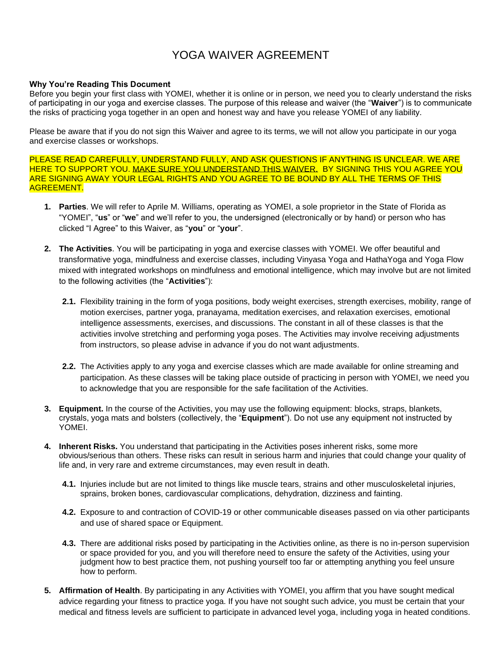## YOGA WAIVER AGREEMENT

## **Why You're Reading This Document**

Before you begin your first class with YOMEI, whether it is online or in person, we need you to clearly understand the risks of participating in our yoga and exercise classes. The purpose of this release and waiver (the "**Waiver**") is to communicate the risks of practicing yoga together in an open and honest way and have you release YOMEI of any liability.

Please be aware that if you do not sign this Waiver and agree to its terms, we will not allow you participate in our yoga and exercise classes or workshops.

PLEASE READ CAREFULLY, UNDERSTAND FULLY, AND ASK QUESTIONS IF ANYTHING IS UNCLEAR. WE ARE HERE TO SUPPORT YOU. MAKE SURE YOU UNDERSTAND THIS WAIVER. BY SIGNING THIS YOU AGREE YOU ARE SIGNING AWAY YOUR LEGAL RIGHTS AND YOU AGREE TO BE BOUND BY ALL THE TERMS OF THIS AGREEMENT.

- **1. Parties**. We will refer to Aprile M. Williams, operating as YOMEI, a sole proprietor in the State of Florida as "YOMEI", "**us**" or "**we**" and we'll refer to you, the undersigned (electronically or by hand) or person who has clicked "I Agree" to this Waiver, as "**you**" or "**your**".
- **2. The Activities**. You will be participating in yoga and exercise classes with YOMEI. We offer beautiful and transformative yoga, mindfulness and exercise classes, including Vinyasa Yoga and HathaYoga and Yoga Flow mixed with integrated workshops on mindfulness and emotional intelligence, which may involve but are not limited to the following activities (the "**Activities**"):
	- **2.1.** Flexibility training in the form of yoga positions, body weight exercises, strength exercises, mobility, range of motion exercises, partner yoga, pranayama, meditation exercises, and relaxation exercises, emotional intelligence assessments, exercises, and discussions. The constant in all of these classes is that the activities involve stretching and performing yoga poses. The Activities may involve receiving adjustments from instructors, so please advise in advance if you do not want adjustments.
	- **2.2.** The Activities apply to any yoga and exercise classes which are made available for online streaming and participation. As these classes will be taking place outside of practicing in person with YOMEI, we need you to acknowledge that you are responsible for the safe facilitation of the Activities.
- **3. Equipment.** In the course of the Activities, you may use the following equipment: blocks, straps, blankets, crystals, yoga mats and bolsters (collectively, the "**Equipment**"). Do not use any equipment not instructed by YOMEI.
- **4. Inherent Risks.** You understand that participating in the Activities poses inherent risks, some more obvious/serious than others. These risks can result in serious harm and injuries that could change your quality of life and, in very rare and extreme circumstances, may even result in death.
	- **4.1.** Injuries include but are not limited to things like muscle tears, strains and other musculoskeletal injuries, sprains, broken bones, cardiovascular complications, dehydration, dizziness and fainting.
	- **4.2.** Exposure to and contraction of COVID-19 or other communicable diseases passed on via other participants and use of shared space or Equipment.
	- **4.3.** There are additional risks posed by participating in the Activities online, as there is no in-person supervision or space provided for you, and you will therefore need to ensure the safety of the Activities, using your judgment how to best practice them, not pushing yourself too far or attempting anything you feel unsure how to perform.
- **5. Affirmation of Health**. By participating in any Activities with YOMEI, you affirm that you have sought medical advice regarding your fitness to practice yoga. If you have not sought such advice, you must be certain that your medical and fitness levels are sufficient to participate in advanced level yoga, including yoga in heated conditions.